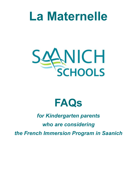# **La Maternelle**



# **FAQs**

# *for Kindergarten parents*

# *who are considering*

*the French Immersion Program in Saanich*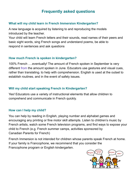# **Frequently asked questions**

### **What will my child learn in French Immersion Kindergarten?**

A new language is acquired by listening to and reproducing the models introduced by the teacher.

Your child will learn French letters and their sounds, read names of their peers and basic sight words, sing French songs and understand poems, be able to respond in sentences and ask questions

## **How much French is spoken in kindergarten?**

100% French ….eventually! The amount of French spoken in September is very different from the amount spoken in June. Educators use gestures and visual cues, rather than translating, to help with comprehension. English is used at the outset to establish routines, and in the event of safety issues.

## **Will my child start speaking French in Kindergarten?**

Yes! Educators use a variety of instructional elements that allow children to comprehend and communicate in French quickly.

## **How can I help my child?**

You can help by reading in English, playing number and alphabet games and encouraging any printing or fine motor skill attempts. Listen to children's music by French artists, watch some French television programs, and find ways to expose your child to French (e.g. French summer camps, activities sponsored by Canadian Parents for French)

French Immersion is not intended for children whose parents speak French at home. If your family is Francophone, we recommend that you consider the Francophone program or English kindergarten.

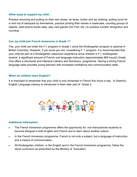#### **Other ways to support my child…**

Practice removing and putting on their own shoes, tie laces, button and zip clothing, putting lunch kit in and out of backpack by themselves, practice printing their names in lowercase, counting groups of objects, read picture books daily, play card games (Go Fish, etc.) to practice number recognition and counting

#### **Can my child join French Immersion in Grade 1?**

Yes, your child can enter the F.I. program in Grade 1 since the Kindergarten program is optional in British Columbia. However, if you know you are considering F. I. program, it is recommended that your child be part of a Kindergarten classroom experience since children in F.I. kindergarten receive a significant amount of French oral language instruction (approximately 900 hours!) Grade One offers a structured and intensive Literacy and Numeracy programme. Having a strong French language base provides young learners with increased confidence and communication skills.

#### **When do children learn English?**

It is important to remember that your child is only immersed in French five hours a day. In Saanich, English Language Literacy is introduced in them later part of Grade 3.



#### *Additional information:*

- The French Immersion programme offers the opportunity for non-francophone students to become bilingual in both English and French and to learn about another culture.
- In the French Immersion programme, French is not only a subject, but a language of instruction and a means of communication.
- All Kindergarten children, in the English and in the French Immersion programme, follow the same curriculum as prescribed by the Ministry of Education.